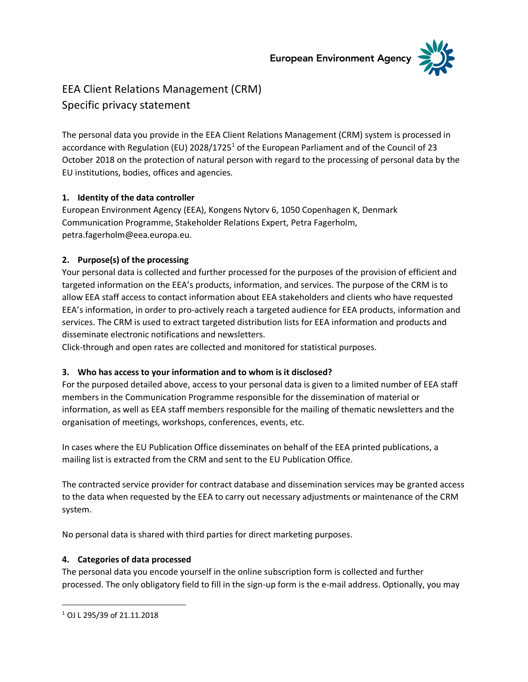**European Environment Agency** 



# EEA Client Relations Management (CRM) Specific privacy statement

The personal data you provide in the EEA Client Relations Management (CRM) system is processed in accordance with Regulation (EU) 2028/1725<sup>1</sup> of the European Parliament and of the Council of 23 October 2018 on the protection of natural person with regard to the processing of personal data by the EU institutions, bodies, offices and agencies.

# **1. Identity of the data controller**

European Environment Agency (EEA), Kongens Nytorv 6, 1050 Copenhagen K, Denmark Communication Programme, Stakeholder Relations Expert, Petra Fagerholm, petra.fagerholm@eea.europa.eu.

## **2. Purpose(s) of the processing**

Your personal data is collected and further processed for the purposes of the provision of efficient and targeted information on the EEA's products, information, and services. The purpose of the CRM is to allow EEA staff access to contact information about EEA stakeholders and clients who have requested EEA's information, in order to pro-actively reach a targeted audience for EEA products, information and services. The CRM is used to extract targeted distribution lists for EEA information and products and disseminate electronic notifications and newsletters.

Click-through and open rates are collected and monitored for statistical purposes.

# **3. Who has access to your information and to whom is it disclosed?**

For the purposed detailed above, access to your personal data is given to a limited number of EEA staff members in the Communication Programme responsible for the dissemination of material or information, as well as EEA staff members responsible for the mailing of thematic newsletters and the organisation of meetings, workshops, conferences, events, etc.

In cases where the EU Publication Office disseminates on behalf of the EEA printed publications, a mailing list is extracted from the CRM and sent to the EU Publication Office.

The contracted service provider for contract database and dissemination services may be granted access to the data when requested by the EEA to carry out necessary adjustments or maintenance of the CRM system.

No personal data is shared with third parties for direct marketing purposes.

#### **4. Categories of data processed**

The personal data you encode yourself in the online subscription form is collected and further processed. The only obligatory field to fill in the sign-up form is the e-mail address. Optionally, you may

<sup>1</sup> OJ L 295/39 of 21.11.2018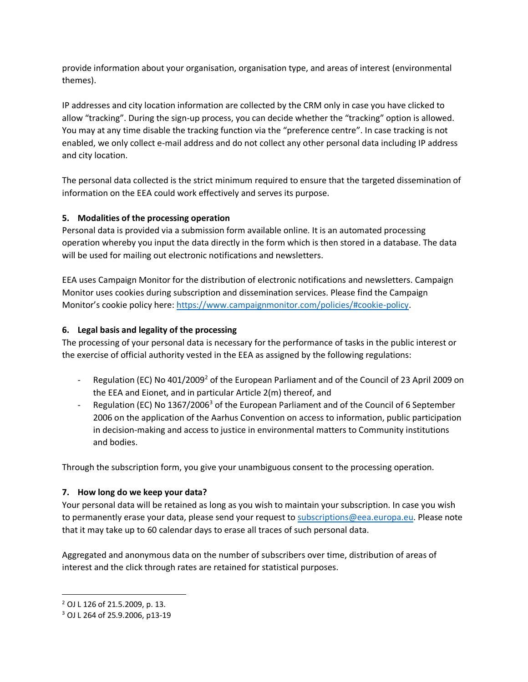provide information about your organisation, organisation type, and areas of interest (environmental themes).

IP addresses and city location information are collected by the CRM only in case you have clicked to allow "tracking". During the sign-up process, you can decide whether the "tracking" option is allowed. You may at any time disable the tracking function via the "preference centre". In case tracking is not enabled, we only collect e-mail address and do not collect any other personal data including IP address and city location.

The personal data collected is the strict minimum required to ensure that the targeted dissemination of information on the EEA could work effectively and serves its purpose.

## **5. Modalities of the processing operation**

Personal data is provided via a submission form available online. It is an automated processing operation whereby you input the data directly in the form which is then stored in a database. The data will be used for mailing out electronic notifications and newsletters.

EEA uses Campaign Monitor for the distribution of electronic notifications and newsletters. Campaign Monitor uses cookies during subscription and dissemination services. Please find the Campaign Monitor's cookie policy here: [https://www.campaignmonitor.com/policies/#cookie-policy.](https://www.campaignmonitor.com/policies/#cookie-policy)

## **6. Legal basis and legality of the processing**

The processing of your personal data is necessary for the performance of tasks in the public interest or the exercise of official authority vested in the EEA as assigned by the following regulations:

- Regulation (EC) No 401/2009<sup>2</sup> of the European Parliament and of the Council of 23 April 2009 on the EEA and Eionet, and in particular Article 2(m) thereof, and
- Regulation (EC) No 1367/2006<sup>3</sup> of the European Parliament and of the Council of 6 September 2006 on the application of the Aarhus Convention on access to information, public participation in decision-making and access to justice in environmental matters to Community institutions and bodies.

Through the subscription form, you give your unambiguous consent to the processing operation.

#### **7. How long do we keep your data?**

Your personal data will be retained as long as you wish to maintain your subscription. In case you wish to permanently erase your data, please send your request to [subscriptions@eea.europa.eu.](mailto:subscriptions@eea.europa.eu) Please note that it may take up to 60 calendar days to erase all traces of such personal data.

Aggregated and anonymous data on the number of subscribers over time, distribution of areas of interest and the click through rates are retained for statistical purposes.

<sup>2</sup> OJ L 126 of 21.5.2009, p. 13.

<sup>3</sup> OJ L 264 of 25.9.2006, p13-19